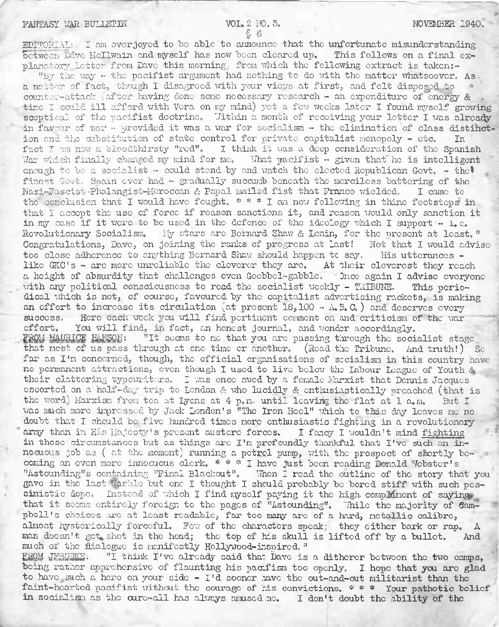$E\text{DTPOR}$  at: I am overjoyed to be able to announce that the unfortunate misunderstanding between Dave McIlwain and myself has now been cleared up. This follows on a final explanatory letter from Dave this morning; from which the following extract is taken:-

"By the way - the pacifist argument had nothing to do with the matter whatsoever. As a matter of fact, though I disagreed with your views at first, and felt disposed to counter-attack (after having done some necessary research - an expenditure of energy & time I could ill afford with Vera on my mind) yet a few weeks later I found myself growing sceptical of the pacifist doctrine. Within a month of receiving your letter I was already in favour of war - provided it was a war for socialism - the elimination of class distinction and the substitution of state control for private capitalist monopoly - etc. In fact I am now a bloodthirsty "red". I think it was a deep censideration of the Spanish War which finally changed my mind for me. What pacifist  $\cdot$  given that he is intelligent enough to be a socialist - could stand by and watch the elected Republican Govt.  $-$  the! finest Govt. Spain ever had - gradually succumb beneath the merciless battering of the Nazi-Fascist-Phalangist-Horoccan & Papal mailed fist that Franco wielded. I camo to the conclusion that I would have fought, \* \* \* I am now following in thine footsteps in that I accept the use of force if reason sanctions it, and reason would only sanction it in my case if it wore to be used in the defence of the ideology which I support  $-$  i.e. Revolutionary Socialism. My stars are Bernard Shaw & Lenin, for the present at least." Congratulations, Dave, on joining the ranks of progress at last! Not that I would advise too close adherence to anything Bernard Shaw should happen tc say. His utterances like GKO's - are more unreliable the cleverer they are. At their cleverest they reach a height of absurdity that challenges even Goobbol-gabble. Once again I advise everyone with any political consciousness to read the socialist weekly - TRIBUNE. This periodical which is not, of course, favoured by the capitalist advertising rackets, is making an effort to increase its circulation (at present  $18,100 - A, B, C$ , ) and deserves every success, Hero each wook you Will find, pertinent comment on and criticism of the war effort. You will find, in fact, an honest journal, and wonder accordingly.<br>FROM MAURICE HANSON: "It seems to me that you are passing through the soci "It seems to me that you are passing through the socialist stage that most of us pass through at ene time er another. (Read the Tribune. And truth!) So far as I'm concerned, though, the official organisations of secialism in this country have no permanent attractions, even though <sup>I</sup> used to live below the labour League of Youth & their clattering typewriters. I was once awed by a female Marxist that Dennis Jacques escorted on a half-day trip to London & who lucidly & enthusiastically preached (that is the word) Marxism from tea at Lyons at 4 p.m. until leaving the flat at 1 a.m. But I was much more impressed by Jack London's "The Iron Heel" which to this day leaves me no doubt that I should be five hundred times more enthusiastic fighting in a revolutionary army than in His Majesty's present austere forces. I fancy I wouldn't mind fighting in those circumstances but as things are I'm profoundly thankful that I've such an innocuous job as ( at the moment) running a petrol pump, with the prospect of shortly becoming an even more innocuous clerk. \* \* \* I have just been reading Donald Webster's "Astounding"s containing "Final Blackout". Then I read the outline of the story that you gave in the last Warble but one I thought I should probably be bored stiff with such pessimistic dope. Instead of which I find myself paying it the high complement of saying, that it seems entirely foreign to the pages of "Astounding". Thile the majority of Campbcll's choices are at least readable, far too many arc of a hard, metallic calibre, almost hysterically forceful. Fow of the characters speak: they either bark or rap. man doesn't got,, shot in the head; the top of his skull is lifted off by a bullet. And much of the dialogue is manifestly Hollywood-inspired. " ERQM QFBURKE: "I think I've already said tha~ Dave is a dithcrcr between the two camps,

being rather apprehensive of flaunting his pacifism too openly. I hope that you are glad to have such a here on your side - I'd sooner have the out-and-out militarist than the faint-hearted pacifist without the courage of his convictions. \* \* \* Your pathetic belief in socialism as the cure-all has always amused no. I don't doubt the ability of the